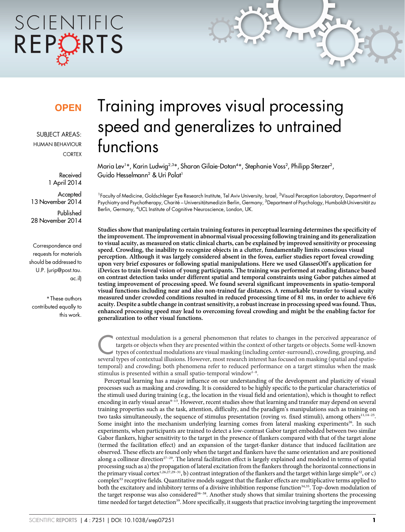# SCIENTIFIC REPORTS

### **OPEN**

SUBJECT AREAS: HUMAN BEHAVIOUR **CORTEX** 

> Received 1 April 2014

**Accepted** 13 November 2014

Published 28 November 2014

Correspondence and requests for materials should be addressed to U.P. (urip@post.tau. ac.il)

\* These authors contributed equally to this work.

## Training improves visual processing speed and generalizes to untrained functions

Maria Lev1\*, Karin Ludwig<sup>2,3\*</sup>, Sharon Gilaie-Dotan<sup>4\*</sup>, Stephanie Voss<sup>2</sup>, Philipp Sterzer<sup>2</sup>, Guido Hesselmann<sup>2</sup> & Uri Polat<sup>1</sup>

<sup>1</sup>Faculty of Medicine, Goldschleger Eye Research Institute, Tel Aviv University, Israel, <sup>2</sup>Visual Perception Laboratory, Department of Psychiatry and Psychotherapy, Charité – Universitätsmedizin Berlin, Germany, <sup>3</sup>Department of Psychology, Humboldt-Universität zu Berlin, Germany, <sup>4</sup>UCL Institute of Cognitive Neuroscience, London, UK.

Studies show that manipulating certain training features in perceptual learning determines the specificity of the improvement. The improvement in abnormal visual processing following training and its generalization to visual acuity, as measured on static clinical charts, can be explained by improved sensitivity or processing speed. Crowding, the inability to recognize objects in a clutter, fundamentally limits conscious visual perception. Although it was largely considered absent in the fovea, earlier studies report foveal crowding upon very brief exposures or following spatial manipulations. Here we used GlassesOff's application for iDevices to train foveal vision of young participants. The training was performed at reading distance based on contrast detection tasks under different spatial and temporal constraints using Gabor patches aimed at testing improvement of processing speed. We found several significant improvements in spatio-temporal visual functions including near and also non-trained far distances. A remarkable transfer to visual acuity measured under crowded conditions resulted in reduced processing time of 81 ms, in order to achieve 6/6 acuity. Despite a subtle change in contrast sensitivity, a robust increase in processing speed was found. Thus, enhanced processing speed may lead to overcoming foveal crowding and might be the enabling factor for generalization to other visual functions.

ontextual modulation is a general phenomenon that relates to changes in the perceived appearance of targets or objects when they are presented within the context of other targets or objects. Some well-known types of contex targets or objects when they are presented within the context of other targets or objects. Some well-known types of contextual modulations are visual masking (including center-surround), crowding, grouping, and several types of contextual illusions. However, most research interest has focused on masking (spatial and spatiotemporal) and crowding; both phenomena refer to reduced performance on a target stimulus when the mask stimulus is presented within a small spatio-temporal window<sup>1-8</sup>.

Perceptual learning has a major influence on our understanding of the development and plasticity of visual processes such as masking and crowding. It is considered to be highly specific to the particular characteristics of the stimuli used during training (e.g., the location in the visual field and orientation), which is thought to reflect encoding in early visual areas $9-13$ . However, recent studies show that learning and transfer may depend on several training properties such as the task, attention, difficulty, and the paradigm's manipulations such as training on two tasks simultaneously, the sequence of stimulus presentation (roving  $\nu s$ . fixed stimuli), among others<sup>11, $\bar{1}^{4-25}$ .</sup> Some insight into the mechanism underlying learning comes from lateral masking experiments<sup>26</sup>. In such experiments, when participants are trained to detect a low-contrast Gabor target embedded between two similar Gabor flankers, higher sensitivity to the target in the presence of flankers compared with that of the target alone (termed the facilitation effect) and an expansion of the target-flanker distance that induced facilitation are observed. These effects are found only when the target and flankers have the same orientation and are positioned along a collinear direction<sup>27–29</sup>. The lateral facilitation effect is largely explained and modeled in terms of spatial processing such as a) the propagation of lateral excitation from the flankers through the horizontal connections in the primary visual cortex<sup>1,26,27,29</sup>-<sup>31</sup>, b) contrast integration of the flankers and the target within large simple<sup>32</sup>, or c) complex<sup>33</sup> receptive fields. Quantitative models suggest that the flanker effects are multiplicative terms applied to both the excitatory and inhibitory terms of a divisive inhibition response function<sup>34,35</sup>. Top-down modulation of the target response was also considered<sup>36–38</sup>. Another study shows that similar training shortens the processing time needed for target detection<sup>39</sup>. More specifically, it suggests that practice involving targeting the improvement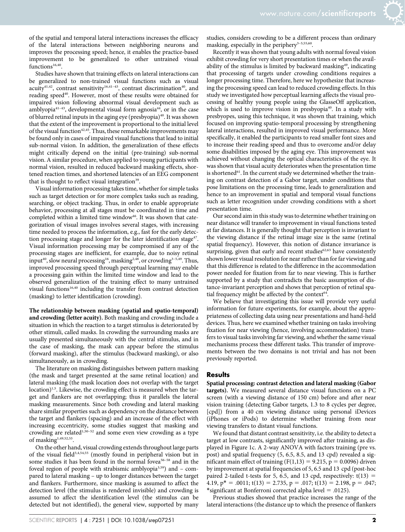of the spatial and temporal lateral interactions increases the efficacy of the lateral interactions between neighboring neurons and improves the processing speed; hence, it enables the practice-based improvement to be generalized to other untrained visual  $functions<sup>16,40</sup>$ .

Studies have shown that training effects on lateral interactions can be generalized to non-trained visual functions such as visual acuity<sup>41,42</sup>, contrast sensitivity<sup>16,41-43</sup>, contrast discrimination<sup>40</sup>, and reading speed<sup>40</sup>. However, most of these results were obtained for impaired vision following abnormal visual development such as amblyopia<sup>41-43</sup>, developmental visual form agnosia<sup>44</sup>, or in the case of blurred retinal inputs in the aging eye (presbyopia) $40$ . It was shown that the extent of the improvement is proportional to the initial level of the visual function<sup> $42,45$ </sup>. Thus, these remarkable improvements may be found only in cases of impaired visual functions that lead to initial sub-normal vision. In addition, the generalization of these effects might critically depend on the initial (pre-training) sub-normal vision. A similar procedure, when applied to young participants with normal vision, resulted in reduced backward masking effects, shortened reaction times, and shortened latencies of an EEG component that is thought to reflect visual integration<sup>39</sup>.

Visual information processing takes time, whether for simple tasks such as target detection or for more complex tasks such as reading, searching, or object tracking. Thus, in order to enable appropriate behavior, processing at all stages must be coordinated in time and completed within a limited time window<sup>46</sup>. It was shown that categorization of visual images involves several stages, with increasing time needed to process the information, e.g., fast for the early detection processing stage and longer for the later identification stage<sup>47</sup>. Visual information processing may be compromised if any of the processing stages are inefficient, for example, due to noisy retinal input<sup>40</sup>, slow neural processing<sup>16</sup>, masking<sup>2,48</sup>, or crowding<sup>3-5,49</sup>. Thus, improved processing speed through perceptual learning may enable a processing gain within the limited time window and lead to the observed generalization of the training effect to many untrained visual functions<sup>16,40</sup> including the transfer from contrast detection (masking) to letter identification (crowding).

The relationship between masking (spatial and spatio-temporal) and crowding (letter acuity). Both masking and crowding include a situation in which the reaction to a target stimulus is deteriorated by other stimuli, called masks. In crowding the surrounding masks are usually presented simultaneously with the central stimulus, and in the case of masking, the mask can appear before the stimulus (forward masking), after the stimulus (backward masking), or also simultaneously, as in crowding.

The literature on masking distinguishes between pattern masking (the mask and target presented at the same retinal location) and lateral masking (the mask location does not overlap with the target location)<sup>1,5</sup>. Likewise, the crowding effect is measured when the target and flankers are not overlapping; thus it parallels the lateral masking measurements. Since both crowding and lateral masking share similar properties such as dependency on the distance between the target and flankers (spacing) and an increase of the effect with increasing eccentricity, some studies suggest that masking and crowding are related<sup>1,50–52</sup> and some even view crowding as a type of masking<sup>1,49,52,53</sup>.

On the other hand, visual crowding extends throughout large parts of the visual field<sup>3,4,54,55</sup> (mostly found in peripheral vision but in some studies it has been found in the normal fovea<sup>56-58</sup> and in the foveal region of people with strabismic amblyopia3,59) and – compared to lateral masking – up to longer distances between the target and flankers. Furthermore, since masking is assumed to affect the detection level (the stimulus is rendered invisible) and crowding is assumed to affect the identification level (the stimulus can be detected but not identified), the general view, supported by many

studies, considers crowding to be a different process than ordinary masking, especially in the periphery<sup>3-5,55,60</sup>.

Recently it was shown that young adults with normal foveal vision exhibit crowding for very short presentation times or when the availability of the stimulus is limited by backward masking<sup>49</sup>, indicating that processing of targets under crowding conditions requires a longer processing time. Therefore, here we hypothesize that increasing the processing speed can lead to reduced crowding effects. In this study we investigated how perceptual learning affects the visual processing of healthy young people using the GlasseOff application, which is used to improve vision in presbyopia<sup>40</sup>. In a study with presbyopes, using this technique, it was shown that training, which focused on improving spatio-temporal processing by strengthening lateral interactions, resulted in improved visual performance. More specifically, it enabled the participants to read smaller font sizes and to increase their reading speed and thus to overcome and/or delay some disabilities imposed by the aging eye. This improvement was achieved without changing the optical characteristics of the eye. It was shown that visual acuity deteriorates when the presentation time is shortened<sup>61</sup>. In the current study we determined whether the training on contrast detection of a Gabor target, under conditions that pose limitations on the processing time, leads to generalization and hence to an improvement in spatial and temporal visual functions such as letter recognition under crowding conditions with a short presentation time.

Our second aim in this study was to determine whether training on near distance will transfer to improvement in visual functions tested at far distances. It is generally thought that perception is invariant to the viewing distance if the retinal image size is the same (retinal spatial frequency). However, this notion of distance invariance is surprising, given that early and recent studies $62,63$  have consistently shown lower visual resolution for near rather than for far viewing and that this difference is related to the difference in the accommodation power needed for fixation from far to near viewing. This is further supported by a study that contradicts the basic assumption of distance-invariant perception and shows that perception of retinal spatial frequency might be affected by the context $64$ .

We believe that investigating this issue will provide very useful information for future experiments, for example, about the appropriateness of collecting data using near presentations and hand-held devices. Thus, here we examined whether training on tasks involving fixation for near viewing (hence, involving accommodation) transfers to visual tasks involving far viewing, and whether the same visual mechanisms process these different tasks. This transfer of improvements between the two domains is not trivial and has not been previously reported.

#### **Results**

Spatial processing: contrast detection and lateral masking (Gabor targets). We measured several distance visual functions on a PC screen (with a viewing distance of 150 cm) before and after near vision training (detecting Gabor targets, 1.3 to 8 cycles per degree, [cpd]) from a 40 cm viewing distance using personal iDevices (iPhones or iPods) to determine whether training from near viewing transfers to distant visual functions.

We found that distant contrast sensitivity, i.e. the ability to detect a target at low contrasts, significantly improved after training, as displayed in Figure 1c. A 2-way ANOVA with factors training (pre vs. post) and spatial frequency (5, 6.5, 8.5, and 13 cpd) revealed a significant main effect of training ( $F(1,13) = 9.215$ ,  $p = 0.0096$ ) driven by improvement at spatial frequencies of 5, 6.5 and 13 cpd (post-hoc paired 2-tailed t-tests for 5, 6.5, and 13 cpd, respectively:  $t(13) =$ 4.19,  $p^* = .0011$ ;  $t(13) = 2.735$ ,  $p = .017$ ;  $t(13) = 2.198$ ,  $p = .047$ ; \*significant at Bonferroni corrected alpha level = .0125).

Previous studies showed that practice increases the range of the lateral interactions (the distance up to which the presence of flankers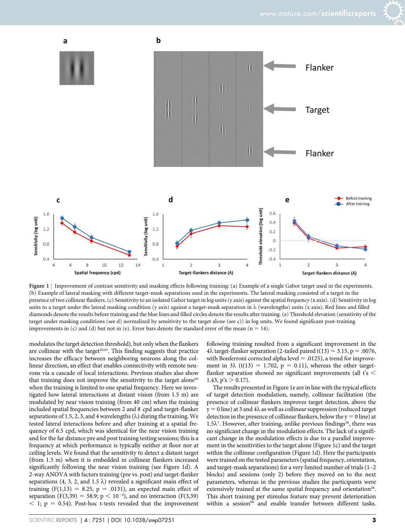



Figure 1 | Improvement of contrast sensitivity and masking effects following training: (a) Example of a single Gabor target used in the experiments. (b) Example of lateral masking with different target-mask separations used in the experiments. The lateral masking consisted of a target in the presence of two collinear flankers. (c) Sensitivity to an isolated Gabor target in log units (y axis) against the spatial frequency (x axis). (d) Sensitivity in log units to a target under the lateral masking condition (y axis) against a target-mask separation in  $\lambda$  (wavelengths) units (x axis). Red lines and filled diamonds denote the results before training and the blue lines and filled circles denote the results after training. (e) Threshold elevation (sensitivity of the target under masking conditions (see d) normalized by sensitivity to the target alone (see c)) in log units. We found significant post-training improvements in (c) and (d) but not in (e). Error bars denote the standard error of the mean ( $n = 14$ ).

modulates the target detection threshold), but only when the flankers are collinear with the target<sup>26,65</sup>. This finding suggests that practice increases the efficacy between neighboring neurons along the collinear direction, an effect that enables connectivity with remote neurons via a cascade of local interactions. Previous studies also show that training does not improve the sensitivity to the target alone<sup>65</sup> when the training is limited to one spatial frequency. Here we investigated how lateral interactions at distant vision (from 1.5 m) are modulated by near vision training (from 40 cm) when the training included spatial frequencies between 2 and 8 cpd and target-flanker separations of 1.5, 2, 3, and 4 wavelengths  $(\lambda)$  during the training. We tested lateral interactions before and after training at a spatial frequency of 6.5 cpd, which was identical for the near vision training and for the far distance pre and post training testing sessions; this is a frequency at which performance is typically neither at floor nor at ceiling levels. We found that the sensitivity to detect a distant target (from 1.5 m) when it is embedded in collinear flankers increased significantly following the near vision training (see Figure 1d). A 2-way ANOVA with factors training (pre vs. post) and target-flanker separations (4, 3, 2, and 1.5  $\lambda$ ) revealed a significant main effect of training  $(F(1,13) = 8.25, p = .0131)$ , an expected main effect of separation (F(3,39) = 58.9;  $p < 10^{-4}$ ), and no interaction (F(3,39)  $<$  1; p = 0.54). Post-hoc t-tests revealed that the improvement

following training resulted from a significant improvement in the  $4\lambda$  target-flanker separation (2-tailed paired t(13) = 3.15, p = .0076, with Bonferroni corrected alpha level  $= .0125$ ), a trend for improvement in  $3\lambda$  (t(13) = 1.702, p = 0.11), whereas the other targetflanker separation showed no significant improvements (all  $t's <$ 1.43,  $p's > 0.17$ ).

The results presented in Figure 1e are in line with the typical effects of target detection modulation, namely, collinear facilitation (the presence of collinear flankers improves target detection, above the  $y = 0$  line) at 3 and 4 $\lambda$  as well as collinear suppression (reduced target detection in the presence of collinear flankers, below the  $y = 0$  line) at 1.5 $\lambda$ <sup>1</sup>. However, after training, unlike previous findings<sup>26</sup>, there was no significant change in the modulation effects. The lack of a significant change in the modulation effects is due to a parallel improvement in the sensitivities to the target alone (Figure 1c) and the target within the collinear configuration (Figure 1d). Here the participants were trained on the tested parameters (spatial frequency, orientation, and target-mask separations) for a very limited number of trials (1–2 blocks) and sessions (only 2) before they moved on to the next parameters, whereas in the previous studies the participants were extensively trained at the same spatial frequency and orientation<sup>26</sup>. This short training per stimulus feature may prevent deterioration within a session<sup>66</sup> and enable transfer between different tasks.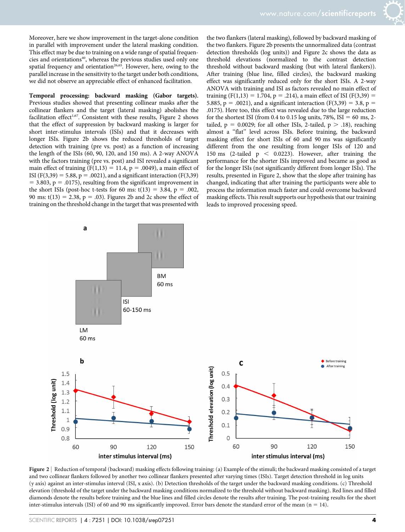Moreover, here we show improvement in the target-alone condition in parallel with improvement under the lateral masking condition. This effect may be due to training on a wide range of spatial frequencies and orientations<sup>40</sup>, whereas the previous studies used only one spatial frequency and orientation<sup>26,65</sup>. However, here, owing to the parallel increase in the sensitivity to the target under both conditions, we did not observe an appreciable effect of enhanced facilitation.

Temporal processing: backward masking (Gabor targets). Previous studies showed that presenting collinear masks after the collinear flankers and the target (lateral masking) abolishes the facilitation effect<sup>1,67</sup>. Consistent with these results, Figure 2 shows that the effect of suppression by backward masking is larger for short inter-stimulus intervals (ISIs) and that it decreases with longer ISIs. Figure 2b shows the reduced thresholds of target detection with training (pre vs. post) as a function of increasing the length of the ISIs (60, 90, 120, and 150 ms). A 2-way ANOVA with the factors training (pre vs. post) and ISI revealed a significant main effect of training  $(F(1,13) = 11.4, p = .0049)$ , a main effect of ISI (F(3,39) = 5.88, p = .0021), and a significant interaction (F(3,39)  $=$  3.803, p = .0175), resulting from the significant improvement in the short ISIs (post-hoc t-tests for 60 ms:  $t(13) = 3.84$ , p = .002, 90 ms:  $t(13) = 2.38$ ,  $p = .03$ ). Figures 2b and 2c show the effect of training on the threshold change in the target that was presented with the two flankers (lateral masking), followed by backward masking of the two flankers. Figure 2b presents the unnormalized data (contrast detection thresholds (log units)) and Figure 2c shows the data as threshold elevations (normalized to the contrast detection threshold without backward masking (but with lateral flankers)). After training (blue line, filled circles), the backward masking effect was significantly reduced only for the short ISIs. A 2-way ANOVA with training and ISI as factors revealed no main effect of training (F(1,13) = 1.704, p = .214), a main effect of ISI (F(3,39) = 5.885, p = .0021), and a significant interaction (F(3,39) = 3.8, p = .0175). Here too, this effect was revealed due to the large reduction for the shortest ISI (from 0.4 to 0.15 log units, 78%, ISI = 60 ms, 2tailed,  $p = 0.0029$ ; for all other ISIs, 2-tailed,  $p > .18$ ), reaching almost a ''flat'' level across ISIs. Before training, the backward masking effect for short ISIs of 60 and 90 ms was significantly different from the one resulting from longer ISIs of 120 and 150 ms (2-tailed  $p \le 0.0223$ ). However, after training the performance for the shorter ISIs improved and became as good as for the longer ISIs (not significantly different from longer ISIs). The results, presented in Figure 2, show that the slope after training has changed, indicating that after training the participants were able to process the information much faster and could overcome backward masking effects. This result supports our hypothesis that our training leads to improved processing speed.



Figure 2 | Reduction of temporal (backward) masking effects following training: (a) Example of the stimuli; the backward masking consisted of a target and two collinear flankers followed by another two collinear flankers presented after varying times (ISIs). Target detection threshold in log units (y axis) against an inter-stimulus interval (ISI, x axis). (b) Detection thresholds of the target under the backward masking conditions. (c) Threshold elevation (threshold of the target under the backward masking conditions normalized to the threshold without backward masking). Red lines and filled diamonds denote the results before training and the blue lines and filled circles denote the results after training. The post-training results for the short inter-stimulus intervals (ISI) of 60 and 90 ms significantly improved. Error bars denote the standard error of the mean ( $n = 14$ ).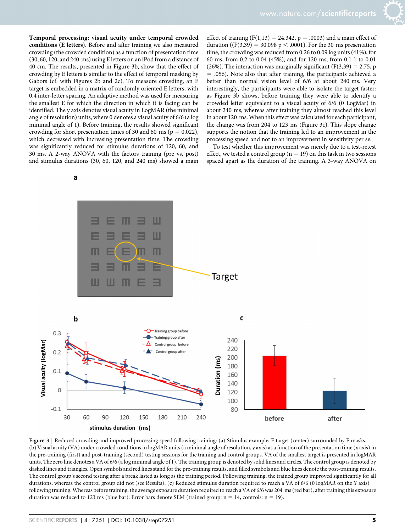Temporal processing: visual acuity under temporal crowded conditions (E letters). Before and after training we also measured crowding (the crowded condition) as a function of presentation time (30, 60, 120, and 240 ms) using E letters on an iPod from a distance of 40 cm. The results, presented in Figure 3b, show that the effect of crowding by E letters is similar to the effect of temporal masking by Gabors (cf. with Figures 2b and 2c). To measure crowding, an E target is embedded in a matrix of randomly oriented E letters, with 0.4 inter-letter spacing. An adaptive method was used for measuring the smallest E for which the direction in which it is facing can be identified. The y axis denotes visual acuity in LogMAR (the minimal angle of resolution) units, where 0 denotes a visual acuity of 6/6 (a log minimal angle of 1). Before training, the results showed significant crowding for short presentation times of 30 and 60 ms ( $p = 0.022$ ), which decreased with increasing presentation time. The crowding was significantly reduced for stimulus durations of 120, 60, and 30 ms. A 2-way ANOVA with the factors training (pre vs. post) and stimulus durations (30, 60, 120, and 240 ms) showed a main

effect of training ( $F(1,13) = 24.342$ ,  $p = .0003$ ) and a main effect of duration ((F(3,39) = 30.098 p < .0001). For the 30 ms presentation time, the crowding was reduced from 0.26 to 0.09 log units (41%), for 60 ms, from 0.2 to 0.04 (45%), and for 120 ms, from 0.1 1 to 0.01 (26%). The interaction was marginally significant ( $F(3,39) = 2.75$ , p  $=$  .056). Note also that after training, the participants achieved a better than normal vision level of 6/6 at about 240 ms. Very interestingly, the participants were able to isolate the target faster: as Figure 3b shows, before training they were able to identify a crowded letter equivalent to a visual acuity of 6/6 (0 LogMar) in about 240 ms, whereas after training they almost reached this level in about 120 ms. When this effect was calculated for each participant, the change was from 204 to 123 ms (Figure 3c). This slope change supports the notion that the training led to an improvement in the processing speed and not to an improvement in sensitivity per se.

To test whether this improvement was merely due to a test-retest effect, we tested a control group ( $n = 19$ ) on this task in two sessions spaced apart as the duration of the training. A 3-way ANOVA on

a



Figure 3 | Reduced crowding and improved processing speed following training: (a) Stimulus example; E target (center) surrounded by E masks. (b) Visual acuity (VA) under crowded conditions in logMAR units (a minimal angle of resolution, y axis) as a function of the presentation time (x axis) in the pre-training (first) and post-training (second) testing sessions for the training and control groups. VA of the smallest target is presented in logMAR units. The zero line denotes a VA of 6/6 (a log minimal angle of 1). The training group is denoted by solid lines and circles. The control group is denoted by dashed lines and triangles. Open symbols and red lines stand for the pre-training results, and filled symbols and blue lines denote the post-training results. The control group's second testing after a break lasted as long as the training period. Following training, the trained group improved significantly for all durations, whereas the control group did not (see Results). (c) Reduced stimulus duration required to reach a VA of 6/6 (0 logMAR on the Y axis) following training. Whereas before training, the average exposure duration required to reach a VA of 6/6 was 204 ms (red bar), after training this exposure duration was reduced to 123 ms (blue bar). Error bars denote SEM (trained group:  $n = 14$ , controls:  $n = 19$ ).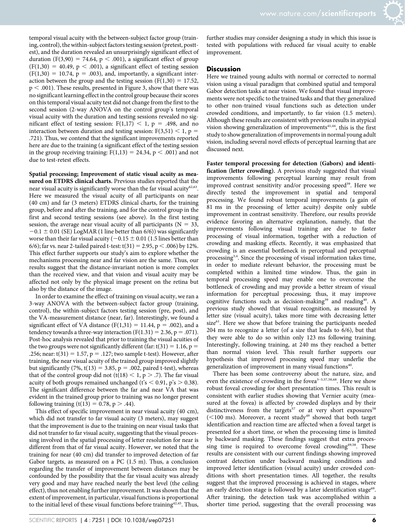temporal visual acuity with the between-subject factor group (training, control), the within-subject factors testing session (pretest, posttest), and the duration revealed an unsurprisingly significant effect of duration (F(3,90) = 74.64, p < .001), a significant effect of group  $(F(1,30) = 40.49, p < .001)$ , a significant effect of testing session  $(F(1,30) = 10.74, p = .003)$ , and, importantly, a significant interaction between the group and the testing session ( $F(1,30) = 17.52$ ,  $p < .001$ ). These results, presented in Figure 3, show that there was no significant learning effect in the control group because their scores on this temporal visual acuity test did not change from the first to the second session (2-way ANOVA on the control group's temporal visual acuity with the duration and testing sessions revealed no significant effect of testing session:  $F(1,17) < 1$ , p = .498, and no interaction between duration and testing session:  $F(3,51) < 1$ , p = .721). Thus, we contend that the significant improvements reported here are due to the training (a significant effect of the testing session in the group receiving training:  $F(1,13) = 24.34$ ,  $p < .001$ ) and not due to test-retest effects.

Spatial processing; Improvement of static visual acuity as measured on ETDRS clinical charts. Previous studies reported that the near visual acuity is significantly worse than the far visual acuity<sup>62,63</sup>. Here we measured the visual acuity of all participants on near (40 cm) and far (3 meters) ETDRS clinical charts, for the training group, before and after the training, and for the control group in the first and second testing sessions (see above). In the first testing session, the average near visual acuity of all participants ( $N = 33$ ,  $-0.1 \pm 0.01$  (SE) LogMAR (1 line better than 6/6)) was significantly worse than their far visual acuity ( $-0.15 \pm 0.01$  (1.5 lines better than 6/6); far vs. near 2-tailed paired t-test:  $t(31) = 2.95$ , p < .006) by 12%. This effect further supports our study's aim to explore whether the mechanisms processing near and far vision are the same. Thus, our results suggest that the distance-invariant notion is more complex than the received view, and that vision and visual acuity may be affected not only by the physical image present on the retina but also by the distance of the image.

In order to examine the effect of training on visual acuity, we ran a 3-way ANOVA with the between-subject factor group (training, control), the within-subject factors testing session (pre, post), and the VA-measurement distance (near, far). Interestingly, we found a significant effect of VA distance  $(F(1,31) = 11.44, p = .002)$ , and a tendency towards a three-way interaction  $(F(1.31) = 2.36, p = .071)$ . Post-hoc analysis revealed that prior to training the visual acuities of the two groups were not significantly different (far:  $t(31) = 1.16$ , p = .256; near:  $t(31) = 1.57$ ,  $p = .127$ ; two sample t-test). However, after training, the near visual acuity of the trained group improved slightly but significantly (7%,  $t(13) = 3.85$ ,  $p = .002$ , paired t-test), whereas that of the control group did not (t(18)  $\lt$  1, p  $>$  .7). The far visual acuity of both groups remained unchanged (t's  $\leq$  0.91, p's  $>$  0.38). The significant difference between the far and near VA that was evident in the trained group prior to training was no longer present following training (t(13) = 0.78, p > .44).

This effect of specific improvement in near visual acuity (40 cm), which did not transfer to far visual acuity (3 meters), may suggest that the improvement is due to the training on near visual tasks that did not transfer to far visual acuity, suggesting that the visual processing involved in the spatial processing of letter resolution for near is different from that of far visual acuity. However, we noted that the training for near (40 cm) did transfer to improved detection of far Gabor targets, as measured on a PC (1.5 m). Thus, a conclusion regarding the transfer of improvement between distances may be confounded by the possibility that the far visual acuity was already very good and may have reached nearly the best level (the ceiling effect), thus not enabling further improvement. It was shown that the extent of improvement, in particular, visual functions is proportional to the initial level of these visual functions before training<sup>42,45</sup>. Thus, further studies may consider designing a study in which this issue is tested with populations with reduced far visual acuity to enable improvement.

#### **Discussion**

Here we trained young adults with normal or corrected to normal vision using a visual paradigm that combined spatial and temporal Gabor detection tasks at near vision. We found that visual improvements were not specific to the trained tasks and that they generalized to other non-trained visual functions such as detection under crowded conditions, and importantly, to far vision (1.5 meters). Although these results are consistent with previous results in atypical vision showing generalization of improvements $41,44$ , this is the first study to show generalization of improvements in normal young adult vision, including several novel effects of perceptual learning that are discussed next.

Faster temporal processing for detection (Gabors) and identification (letter crowding). A previous study suggested that visual improvements following perceptual learning may result from improved contrast sensitivity and/or processing speed<sup>39</sup>. Here we directly tested the improvement in spatial and temporal processing. We found robust temporal improvements (a gain of 81 ms in the processing of letter acuity) despite only subtle improvement in contrast sensitivity. Therefore, our results provide evidence favoring an alternative explanation, namely, that the improvements following visual training are due to faster processing of visual information, together with a reduction of crowding and masking effects. Recently, it was emphasized that crowding is an essential bottleneck in perceptual and perceptual processing<sup>3,4</sup>. Since the processing of visual information takes time, in order to mediate relevant behavior, the processing must be completed within a limited time window. Thus, the gain in temporal processing speed may enable one to overcome the bottleneck of crowding and may provide a better stream of visual information for perceptual processing; thus, it may improve cognitive functions such as decision-making<sup>39</sup> and reading<sup>40</sup>. A previous study showed that visual recognition, as measured by letter size (visual acuity), takes more time with decreasing letter size<sup>61</sup>. Here we show that before training the participants needed 204 ms to recognize a letter (of a size that leads to 6/6), but that they were able to do so within only 123 ms following training. Interestingly, following training, at 240 ms they reached a better than normal vision level. This result further supports our hypothesis that improved processing speed may underlie the generalization of improvement in many visual functions<sup>40</sup>.

There has been some controversy about the nature, size, and even the existence of crowding in the fovea<sup>3-5,57,58,68</sup>. Here we show robust foveal crowding for short presentation times. This result is consistent with earlier studies showing that Vernier acuity (measured at the fovea) is affected by crowded displays and by their distinctiveness from the targets<sup>57</sup> or at very short exposures<sup>58</sup>  $(<$ 100 ms). Moreover, a recent study<sup>49</sup> showed that both target identification and reaction time are affected when a foveal target is presented for a short time, or when the processing time is limited by backward masking. These findings suggest that extra processing time is required to overcome foveal crowding<sup>49,58</sup>. These results are consistent with our current findings showing improved contrast detection under backward masking conditions and improved letter identification (visual acuity) under crowded conditions with short presentation times. All together, the results suggest that the improved processing is achieved in stages, where an early detection stage is followed by a later identification stage<sup>69</sup>. After training, the detection task was accomplished within a shorter time period, suggesting that the overall processing was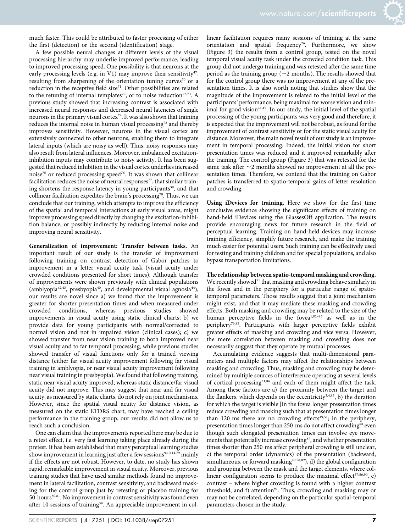much faster. This could be attributed to faster processing of either the first (detection) or the second (identification) stage.

A few possible neural changes at different levels of the visual processing hierarchy may underlie improved performance, leading to improved processing speed. One possibility is that neurons at the early processing levels (e.g. in V1) may improve their sensitivity<sup>47</sup>, resulting from sharpening of the orientation tuning curves<sup>70</sup> or a reduction in the receptive field size<sup>71</sup>. Other possibilities are related to the retuning of internal templates<sup>72</sup>, or to noise reduction<sup>72,73</sup>. A previous study showed that increasing contrast is associated with increased neural responses and decreased neural latencies of single neurons in the primary visual cortex<sup>74</sup>. It was also shown that training reduces the internal noise in human visual processing<sup>73</sup> and thereby improves sensitivity. However, neurons in the visual cortex are extensively connected to other neurons, enabling them to integrate lateral inputs (which are noisy as well). Thus, noisy responses may also result from lateral influences. Moreover, imbalanced excitationinhibition inputs may contribute to noisy activity. It has been suggested that reduced inhibition in the visual cortex underlies increased noise75 or reduced processing speed76. It was shown that collinear facilitation reduces the noise of neural responses<sup>77</sup>, that similar training shortens the response latency in young participants<sup>39</sup>, and that collinear facilitation expedites the brain's processing78. Thus, we can conclude that our training, which attempts to improve the efficiency of the spatial and temporal interactions at early visual areas, might improve processing speed directly by changing the excitation-inhibition balance, or possibly indirectly by reducing internal noise and improving neural sensitivity.

Generalization of improvement: Transfer between tasks. An important result of our study is the transfer of improvement following training on contrast detection of Gabor patches to improvement in a letter visual acuity task (visual acuity under crowded conditions presented for short times). Although transfer of improvements were shown previously with clinical populations (amblyopia<sup>42,43</sup>, presbyopia<sup>40</sup>, and developmental visual agnosia<sup>44</sup>), our results are novel since a) we found that the improvement is greater for shorter presentation times and when measured under crowded conditions, whereas previous studies showed improvements in visual acuity using static clinical charts; b) we provide data for young participants with normal/corrected to normal vision and not in impaired vision (clinical cases); c) we showed transfer from near vision training to both improved near visual acuity and to far temporal processing, while previous studies showed transfer of visual functions only for a trained viewing distance (either far visual acuity improvement following far visual training in amblyopia, or near visual acuity improvement following near visual training in presbyopia). We found that following training, static near visual acuity improved, whereas static distance/far visual acuity did not improve. This may suggest that near and far visual acuity, as measured by static charts, do not rely on joint mechanisms. However, since the spatial visual acuity for distance vision, as measured on the static ETDRS chart, may have reached a ceiling performance in the training group, our results did not allow us to reach such a conclusion.

One can claim that the improvements reported here may be due to a retest effect, i.e. very fast learning taking place already during the pretest. It has been established that many perceptual learning studies show improvement in learning just after a few sessions<sup>9,10,14,79</sup> mainly if the effects are not robust. However, to date, no study has shown rapid, remarkable improvement in visual acuity. Moreover, previous training studies that have used similar methods found no improvement in lateral facilitation, contrast sensitivity, and backward masking for the control group just by retesting or placebo training for 50 hours<sup>80,81</sup>. No improvement in contrast sensitivity was found even after 10 sessions of training<sup>39</sup>. An appreciable improvement in collinear facilitation requires many sessions of training at the same orientation and spatial frequency<sup>26</sup>. Furthermore, we show (Figure 3) the results from a control group, tested on the novel temporal visual acuity task under the crowded condition task. This group did not undergo training and was retested after the same time period as the training group ( $\sim$ 2 months). The results showed that for the control group there was no improvement at any of the presentation times. It is also worth noting that studies show that the magnitude of the improvement is related to the initial level of the participants' performance, being maximal for worse vision and minimal for good vision<sup>42,45</sup>. In our study, the initial level of the spatial processing of the young participants was very good and therefore, it is expected that the improvement will not be robust, as found for the improvement of contrast sensitivity or for the static visual acuity for distance. Moreover, the main novel result of our study is an improvement in temporal processing. Indeed, the initial vision for short presentation times was reduced and it improved remarkably after the training. The control group (Figure 3) that was retested for the same task after  $\sim$ 2 months showed no improvement at all the presentation times. Therefore, we contend that the training on Gabor patches is transferred to spatio-temporal gains of letter resolution and crowding.

Using iDevices for training. Here we show for the first time conclusive evidence showing the significant effects of training on hand-held iDevices using the GlassesOff application. The results provide encouraging news for future research in the field of perceptual learning. Training on hand-held devices may increase training efficiency, simplify future research, and make the training much easier for potential users. Such training can be effectively used for testing and training children and for special populations, and also bypass transportation limitations.

The relationship between spatio-temporal masking and crowding. We recently showed<sup>51</sup> that masking and crowding behave similarly in the fovea and in the periphery for a particular range of spatiotemporal parameters. Those results suggest that a joint mechanism might exist, and that it may mediate these masking and crowding effects. Both masking and crowding may be related to the size of the human perceptive fields in the fovea<sup>1,82-85</sup> as well as in the periphery76,85. Participants with larger perceptive fields exhibit greater effects of masking and crowding and vice versa. However, the mere correlation between masking and crowding does not necessarily suggest that they operate by mutual processes.

Accumulating evidence suggests that multi-dimensional parameters and multiple factors may affect the relationships between masking and crowding. Thus, masking and crowding may be determined by multiple sources of interference operating at several levels of cortical processing51,86 and each of them might affect the task. Among these factors are a) the proximity between the target and the flankers, which depends on the eccentricity<sup>3,4,85</sup>, b) the duration for which the target is visible [in the fovea longer presentation times reduce crowding and masking such that at presentation times longer than 120 ms there are no crowding effects<sup>49,51</sup>; in the periphery, presentation times longer than 250 ms do not affect crowding<sup>88</sup> even though such elongated presentation times can involve eye movements that potentially increase crowding<sup>87</sup>, and whether presentation times shorter than 250 ms affect peripheral crowding is still unclear, c) the temporal order (dynamics) of the presentation (backward, simultaneous, or forward masking<sup>49,58,89</sup>), d) the global configuration and grouping between the mask and the target elements, where collinear configuration seems to produce the maximal effect<sup>57,86,90</sup>, e) contrast – where higher crowding is found with a higher contrast threshold, and f) attention $91$ . Thus, crowding and masking may or may not be correlated, depending on the particular spatial-temporal parameters chosen in the study.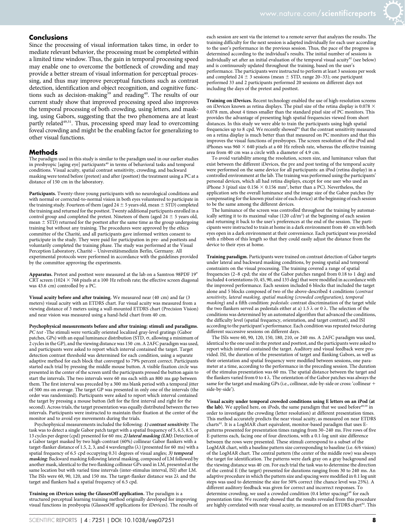#### Conclusions

Since the processing of visual information takes time, in order to mediate relevant behavior, the processing must be completed within a limited time window. Thus, the gain in temporal processing speed may enable one to overcome the bottleneck of crowding and may provide a better stream of visual information for perceptual processing, and thus may improve perceptual functions such as contrast detection, identification and object recognition, and cognitive functions such as decision-making<sup>39</sup> and reading<sup>40</sup>. The results of our current study show that improved processing speed also improves the temporal processing of both crowding, using letters, and masking, using Gabors, suggesting that the two phenomena are at least partly related<sup>49,51</sup>. Thus, processing speed may lead to overcoming foveal crowding and might be the enabling factor for generalizing to other visual functions.

#### Methods

The paradigm used in this study is similar to the paradigm used in our earlier studies in presbyopic [aging eye] participants<sup>40</sup> in terms of behavioral tasks and temporal conditions. Visual acuity, spatial contrast sensitivity, crowding, and backward masking were tested before (pretest) and after (posttest) the treatment using a PC at a distance of 150 cm in the laboratory.

Participants. Twenty-three young participants with no neurological conditions and with normal or corrected-to-normal vision in both eyes volunteered to participate in the training study. Fourteen of them (aged 24  $\pm$  5 years old, mean  $\pm$  STD) completed the training and returned for the posttest. Twenty additional participants enrolled in a control group and completed the pretest. Nineteen of them (aged  $24 \pm 5$  years old, mean  $\pm$  STD) returned for the posttest after the same time as the group undergoing training but without any training. The procedures were approved by the ethics committee of the Charité, and all participants gave informed written consent to participate in the study. They were paid for participation in pre- and posttests and voluntarily completed the training phase. The study was performed at the Visual Perception Laboratory, Charité – Universitätsmedizin Berlin, Germany. All experimental protocols were performed in accordance with the guidelines provided by the committee approving the experiments.

Apparatus. Pretest and posttest were measured at the lab on a Samtron 98PDF 19" CRT screen (1024  $\times$  768 pixels at a 100 Hz refresh rate; the effective screen diagonal was 43.6 cm) controlled by a PC.

Visual acuity before and after training. We measured near (40 cm) and far (3 meters) visual acuity with an ETDRS chart. Far visual acuity was measured from a viewing distance of 3 meters using a wall-mounted ETDRS chart (Precision Vision) and near vision was measured using a hand-held chart from 40 cm.

Psychophysical measurements before and after training: stimuli and paradigms. PC test -The stimuli were vertically oriented localized gray-level gratings (Gabor patches, GPs) with an equal luminance distribution (STD,  $\sigma$ , allowing a minimum of 2 cycles in the GP), and the viewing distance was 150 cm. A 2AFC paradigm was used, and participants were asked to report which interval contained the target. Target detection contrast threshold was determined for each condition, using a separate adaptive method for each block that converged to 79% percent correct. Participants started each trial by pressing the middle mouse button. A visible fixation circle was presented in the center of the screen until the participants pressed the button again to start the intervals. The two intervals were 60 ms each with an 800 ms gap between them. The first interval was preceded by a 300 ms blank period with a temporal jitter of 500 ms on average. The target GP was presented in only one of the intervals (the order was randomized). Participants were asked to report which interval contained the target by pressing a mouse button (left for the first interval and right for the second). Across trials, the target presentation was equally distributed between the two intervals. Participants were instructed to maintain their fixation at the center of the monitor and to avoid eye movements during the trials.

Psychophysical measurements included the following: 1) contrast sensitivity: The task was to detect a single Gabor patch target with a spatial frequency of 5, 6.5, 8.5, or 13 cycles per degree (cpd) presented for 60 ms; 2) lateral masking (LM): Detection of a Gabor target masked by two high-contrast (60%) collinear Gabor flankers with a target-flanker distance of 1.5, 2, 3, and 4 wavelengths ( $\lambda$ ) (presented for 60 ms) with a spatial frequency of 6.5 cpd occupying 0.31 degrees of visual angles; 3) temporal masking: Backward masking following lateral masking, composed of LM followed by another mask, identical to the two flanking collinear GPs used in LM, presented at the same location but with varied time intervals (inter-stimulus interval, ISI) after LM. The ISIs were 60, 90, 120, and 150 ms. The target-flanker distance was  $2\lambda$  and the target and flankers had a spatial frequency of 6.5 cpd.

Training on iDevices using the GlassesOff application. The paradigm is a structured perceptual learning training method originally developed for improving visual functions in presbyopia (GlassesOff applications for iDevices). The results of

each session are sent via the internet to a remote server that analyzes the results. The training difficulty for the next session is adapted individually for each user according to the user's performance in the previous session. Thus, the pace of the progress is determined according to the individual's results. The initial number of sessions is individually set after an initial evaluation of the temporal visual acuity<sup>92</sup> (see below) and is continuously updated throughout the training, based on the user's performance. The participants were instructed to perform at least 3 sessions per week and completed  $24 \pm 3$  sessions (mean  $\pm$  STD, range 20–33); one participant performed 33 and 2 participants performed 20 sessions on different days not including the days of the pretest and posttest.

Training on iDevices. Recent technology enabled the use of high-resolution screens on iDevices known as retina displays. The pixel size of the retina display is 0.078  $\times$ 0.078 mm, about 4 times smaller than the standard pixel size of PC monitors. This provides the advantage of presenting high spatial frequencies viewed from short distances. In this study we were able to train the participants using high spatial frequencies up to 8 cpd. We recently showed<sup>93</sup> that the contrast sensitivity measured on a retina display is much better than that measured on PC monitors and that this improves the visual functions of presbyopes. The screen resolution of the iPod and iPhones was 960  $\times$  640 pixels at a 60 Hz refresh rate, whereas the effective training area from 40 cm was a circle with a diameter of 4.9 cm.

To avoid variability among the resolution, screen size, and luminance values that exist between the different iDevices, the pre and post testing of the temporal acuity were performed on the same device for all participants: an iPod (retina display) in a controlled environment at the lab. The training was performed using the participants' personal devices, which all had retina displays, except for one user who used an iPhone 3 (pixel size 0.156  $\times$  0.156 mm<sup>2</sup>, better than a PC). Nevertheless, the application sets the overall luminance and the image size of the Gabor patches (by compensating for the known pixel size of each device) at the beginning of each session to be the same among the different devices.

The luminance of the screen was controlled throughout the training by automatically setting it to its maximal value  $(120 \text{ cd/m}^2)$  at the beginning of each session and returning it back to the user's preferences at the end of the session. The participants were instructed to train at home in a dark environment from 40 cm with both eyes open in a dark environment at their convenience. Each participant was provided with a ribbon of this length so that they could easily adjust the distance from the device to their eyes at home.

Training paradigm. Participants were trained on contrast detection of Gabor targets under lateral and backward masking conditions, by posing spatial and temporal constraints on the visual processing. The training covered a range of spatial frequencies (2–8 cpd; the size of the Gabor patches ranged from 0.18 to 1 deg) and included 4 orientations (0, 45, 90, and 135 deg) that were modified in accordance with the improved performance. Each session included 6 blocks that included the target alone and 5 blocks composed of two of the above-described 4 conditions (contrast sensitivity, lateral masking, spatial masking (crowded configuration), temporal masking) and a fifth condition: pedestals: contrast discrimination of the target while the two flankers served as pedestals either at a) 1.5  $\lambda$  or 0  $\lambda$ . The selection of the conditions was determined by an automated algorithm that advanced the conditions, the difficulty level (spatial frequency, orientation, and target contrast), and ISI according to the participant's performance. Each condition was repeated twice during different successive sessions on different days.

The ISIs were 60, 90, 120, 150, 180, 210, or 240 ms. A 2AFC paradigm was used, identical to the one used in the pretest and posttest, and the participants were asked to report which interval contained the target. Auditory and visual feedback were provided. ISI, the duration of the presentation of target and flanking Gabors, as well as their orientation and spatial frequency were modified between sessions, one parameter at a time, according to the performance in the preceding session. The duration of the stimulus presentation was 60 ms. The spatial distance between the target and the flankers varied from 0 to 4  $\lambda$ . The orientation of the Gabor patches was always the same for the target and masking GPs (i.e., collinear, side-by-side or cross: 'collinear + side-by-side').

Visual acuity under temporal crowded conditions using E letters on an iPod (at the lab). We applied here, on iPods, the same paradigm that we used before<sup>49,59</sup> in order to investigate the crowding (letter resolution) at different presentation times. This method accurately predicts the near visual acuity, as measured on near ETDRS charts<sup>92</sup>. It is a LogMAR chart equivalent, monitor-based paradigm that uses Epatterns presented for presentation times ranging from 30–240 ms. Five rows of five E-patterns each, facing one of four directions, with a 0.1-log unit size difference between the rows were presented. These stimuli correspond to a subset of the LogMAR chart, with a baseline pattern size corresponding to baseline (i.e. 6/6 vision) of the LogMAR chart. The central pattern (the center of the middle row) was always the target for identification. The patterns were dark gray on a gray background and the viewing distance was 40 cm. For each trial the task was to determine the direction of the central E (the target) presented for durations ranging from 30 to 240 ms. An adaptive procedure in which the pattern size and spacing were modified in 0.1 log unit steps was used to determine the size for 50% correct (the chance level was 25%). A different auditory feedback was given for correct and incorrect responses. To determine crowding, we used a crowded condition (0.4 letter spacing)<sup>49</sup> for each presentation time. We recently showed that the results revealed from this procedure are highly correlated with near visual acuity, as measured on an ETDRS chart<sup>92</sup>. This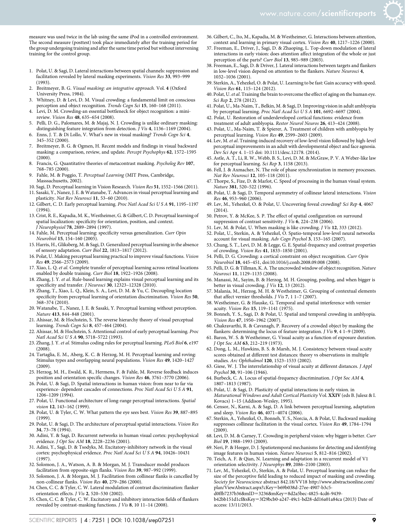- 1. Polat, U. & Sagi, D. Lateral interactions between spatial channels: suppression and facilitation revealed by lateral masking experiments. Vision Res 33, 993–999 (1993).
- 2. Breitmeyer, B. G. Visual masking: an integrative approach. Vol. 4 (Oxford University Press, 1984).
- 3. Whitney, D. & Levi, D. M. Visual crowding: a fundamental limit on conscious perception and object recognition. Trends Cogn Sci 15, 160-168 (2011).
- 4. Levi, D. M. Crowding-an essential bottleneck for object recognition: a minireview. Vision Res 48, 635–654 (2008).
- 5. Pelli, D. G., Palomares, M. & Majaj, N. J. Crowding is unlike ordinary masking: distinguishing feature integration from detection. *J Vis* 4, 1136-1169 (2004).
- 6. Enns, J. T. & Di Lollo, V. What's new in visual masking? Trends Cogn Sci 4, 345–352 (2000).
- 7. Breitmeyer, B. G. & Ogmen, H. Recent models and findings in visual backward masking: a comparison, review, and update. Percept Psychophys 62, 1572–1595 (2000).
- 8. Francis, G. Quantitative theories of metacontrast masking. Psycholog Rev 107, 768–785 (2000).
- 9. Fahle, M. & Poggio, T. Perceptual Learning (MIT Press, Cambridge, Masssachusetts, 2002).
- 10. Sagi, D. Perceptual learning in Vision Research. Vision Res 51, 1552–1566 (2011). 11. Sasaki, Y., Nanez, J. E. & Watanabe, T. Advances in visual perceptual learning and
- plasticity. Nat Rev Neurosci 11, 53–60 (2010). 12. Gilbert, C. D. Early perceptual learning. Proc Natl Acad Sci U S A 91, 1195–1197
- $(1994)$
- 13. Crist, R. E., Kapadia, M. K., Westheimer, G. & Gilbert, C. D. Perceptual learning of spatial localization: specificity for orientation, position, and context. J Neurophysiol 78, 2889–2894 (1997).
- 14. Fahle, M. Perceptual learning: specificity versus generalization. Curr Opin Neurobiol 15, 154–160 (2005).
- 15. Harris, H., Gliksberg, M. & Sagi, D. Generalized perceptual learning in the absence of sensory adaptation. Curr Biol 22, 1813–1817 (2012).
- 16. Polat, U. Making perceptual learning practical to improve visual functions. Vision Res 49, 2566–2573 (2009).
- 17. Xiao, L. Q. et al. Complete transfer of perceptual learning across retinal locations enabled by double training. Curr Biol 18, 1922–1926 (2008).
- 18. Zhang, J. Y. et al. Rule-based learning explains visual perceptual learning and its specificity and transfer. J Neurosci 30, 12323–12328 (2010).
- 19. Zhang, T., Xiao, L. Q., Klein, S. A., Levi, D. M. & Yu, C. Decoupling location specificity from perceptual learning of orientation discrimination. Vision Res 50, 368–374 (2010).
- 20. Watanabe, T., Nanez, J. E. & Sasaki, Y. Perceptual learning without perception. Nature 413, 844–848 (2001).
- 21. Ahissar, M. & Hochstein, S. The reverse hierarchy theory of visual perceptual learning. Trends Cogn Sci 8, 457–464 (2004).
- 22. Ahissar, M. & Hochstein, S. Attentional control of early perceptual learning. Proc Natl Acad Sci U S A 90, 5718–5722 (1993).
- 23. Zhang, J. Y. et al. Stimulus coding rules for perceptual learning. PLoS Biol 6, e197 (2008).
- 24. Tartaglia, E. M., Aberg, K. C. & Herzog, M. H. Perceptual learning and roving: Stimulus types and overlapping neural populations. Vision Res 49, 1420-1427  $(2009)$
- 25. Herzog, M. H., Ewald, K. R., Hermens, F. & Fahle, M. Reverse feedback induces position and orientation specific changes. Vision Res 46, 3761–3770 (2006).
- 26. Polat, U. & Sagi, D. Spatial interactions in human vision: from near to far via experience- dependent cascades of connections. Proc Natl Acad Sci U S A 91, 1206–1209 (1994).
- 27. Polat, U. Functional architecture of long-range perceptual interactions. Spatial vision 12, 143–162 (1999).
- 28. Polat, U. & Tyler, C. W. What pattern the eye sees best. Vision Res 39, 887–895 (1999).
- 29. Polat, U. & Sagi, D. The architecture of perceptual spatial interactions. Vision Res 34, 73–78 (1994).
- 30. Adini, Y. & Sagi, D. Recurrent networks in human visual cortex: psychophysical evidence. J Opt Soc AM 18, 2228–2236 (2001).
- 31. Adini, Y., Sagi, D. & Tsodyks, M. Excitatory-inhibitory network in the visual cortex: psychophysical evidence. Proc Natl Acad Sci U S A 94, 10426–10431 (1997).
- 32. Solomon, J. A., Watson, A. B. & Morgan, M. J. Transducer model produces facilitation from opposite-sign flanks. Vision Res 39, 987–992 (1999).
- 33. Solomon, J. A. & Morgan, M. J. Facilitation from collinear flanks is cancelled by non-collinear flanks. Vision Res 40, 279–286 (2000).
- 34. Chen, C. C. & Tyler, C. W. Lateral modulation of contrast discrimination: flanker orientation effects. J Vis 2, 520–530 (2002).
- 35. Chen, C. C. & Tyler, C. W. Excitatory and inhibitory interaction fields of flankers revealed by contrast-masking functions. J Vis 8, 10 11–14 (2008).
- 36. Gilbert, C., Ito, M., Kapadia, M. & Westheimer, G. Interactions between attention, context and learning in primary visual cortex. Vision Res 40, 1217–1226 (2000).
- 37. Freeman, E., Driver, J., Sagi, D. & Zhaoping, L. Top-down modulation of lateral interactions in early vision: does attention affect integration of the whole or just perception of the parts? Curr Biol 13, 985-989 (2003).
- 38. Freeman, E., Sagi, D. & Driver, J. Lateral interactions between targets and flankers in low-level vision depend on attention to the flankers. Nature Neurosci 4, 1032–1036 (2001).
- 39. Sterkin, A., Yehezkel, O. & Polat, U. Learning to be fast: Gain accuracy with speed. Vision Res 61, 115–124 (2012).
- 40. Polat, U. et al. Training the brain to overcome the effect of aging on the human eye. Sci Rep 2, 278 (2012).
- 41. Polat, U., Ma-Naim, T., Belkin, M. & Sagi, D. Improving vision in adult amblyopia by perceptual learning. Proc Natl Acad Sci U S A 101, 6692–6697 (2004).
- 42. Polat, U. Restoration of underdeveloped cortical functions: evidence from treatment of adult amblyopia. Restor Neurol Neuros 26, 413–424 (2008).
- 43. Polat, U., Ma-Naim, T. & Spierer, A. Treatment of children with amblyopia by perceptual learning. Vision Res 49, 2599–2603 (2009).
- 44. Lev, M. et al. Training-induced recovery of low-level vision followed by high-level perceptual improvements in an adult with developmental object and face agnosia. Dev Sci Apr 4. 1–15 doi: 10.1111/desc.12178. (2014).
- 45. Astle, A. T., Li, R. W., Webb, B. S., Levi, D. M. & McGraw, P. V. A Weber-like law for perceptual learning. Sci Rep 3, 1158 (2013).
- 46. Fell, J. & Axmacher, N. The role of phase synchronization in memory processes. Nat Rev Neurosci 12, 105–118 (2011).
- 47. Thorpe, S., Fize, D. & Marlot, C. Speed of processing in the human visual system. Nature 381, 520–522 (1996).
- 48. Polat, U. & Sagi, D. Temporal asymmetry of collinear lateral interactions. Vision Res 46, 953–960 (2006).
- 49. Lev, M., Yehezkel, O. & Polat, U. Uncovering foveal crowding? Sci Rep 4, 4067 (2014).
- 50. Petrov, Y. & McKee, S. P. The effect of spatial configuration on surround suppression of contrast sensitivity. J Vis  $\overline{6}$ , 224–238 (2006).
- 51. Lev, M. & Polat, U. When masking is like crowding. J Vis 12, 333 (2012).
- 52. Polat, U., Sterkin, A. & Yehezkel, O. Spatio-temporal low-level neural networks account for visual masking. Adv Cogn Psychol 3, 153–165 (2007).
- 53. Chung, S. T., Levi, D. M. & Legge, G. E. Spatial-frequency and contrast properties of crowding. Vision Res 41, 1833–1850 (2001).
- 54. Pelli, D. G. Crowding: a cortical constraint on object recognition. Curr Opin Neurobiol 18, 445–451, doi:10.1016/j.conb.2008.09.008 (2008).
- 55. Pelli, D. G. & Tillman, K. A. The uncrowded window of object recognition. Nature Neurosci 11, 1129–1135 (2008).
- 56. Manassi, M., Sayim, B. & Herzog, M. H. Grouping, pooling, and when bigger is better in visual crowding. *J Vis* 12, 13 (2012).
- 57. Malania, M., Herzog, M. H. & Westheimer, G. Grouping of contextual elements that affect vernier thresholds. J Vis 7, 1 1-7 (2007)
- 58. Westheimer, G. & Hauske, G. Temporal and spatial interference with vernier acuity. Vision Res 15, 119–1141 (1975).
- 59. Bonneh, Y. S., Sagi, D. & Polat, U. Spatial and temporal crowding in amblyopia. Vision Res 47, 1950–1962 (2007).
- 60. Chakravarthi, R. & Cavanagh, P. Recovery of a crowded object by masking the flankers: determining the locus of feature integration. *J Vis* **9**, 4 1–9 (2009).
- 61. Baron, W. S. & Westheimer, G. Visual acuity as a function of exposure duration. J Opt Soc AM 63, 212–219 (1973).
- 62. Dong, L. M., Hawkins, B. S. & Marsh, M. J. Consistency between visual acuity scores obtained at different test distances: theory vs observations in multiple studies. Arc Ophthalmol 120, 1523–1533 (2002).
- 63. Giese, W. J. The interrelationship of visual acuity at different distances. J Appl Psychol 30, 91–106 (1946).
- 64. Burbeck, C. A. Locus of spatial-frequency discrimination. J Opt Soc AM 4, 1807–1813 (1987).
- 65. Polat, U. & Sagi, D. Plasticity of spatial interactions in early vision. in Maturational Windows and Adult Cortical Plasticity Vol. XXIV (eds B. Julesz & I. Kovacs) 1–15 (Addison-Wesley, 1995).
- 66. Censor, N., Karni, A. & Sagi, D. A link between perceptual learning, adaptation and sleep. Vision Res 46, 4071–4074 (2006).
- 67. Sterkin, A., Yehezkel, O., Bonneh, Y. S., Norcia, A. & Polat, U. Backward masking suppresses collinear facilitation in the visual cortex. Vision Res 49, 1784–1794 (2009).
- 68. Levi, D. M. & Carney, T. Crowding in peripheral vision: why bigger is better. Curr Biol 19, 1988–1993 (2009).
- 69. Neri, P. & Heeger, D. J. Spatiotemporal mechanisms for detecting and identifying image features in human vision. Nature Neurosci 5, 812–816 (2002).
- 70. Teich, A. F. & Qian, N. Learning and adaptation in a recurrent model of V1 orientation selectivity. J Neurophys 89, 2086–2100 (2003).
- 71. Lev, M., Yehezkel, O., Sterkin, A. & Polat, U. Perceptual learning can reduce the size of the perceptive field leading to reduced impact of masking and crowding. Society for Neuroscience abstract 842.18/VV18 [http://www.abstractsonline.com/](http://www.abstractsonline.com/plan/ViewAbstract.aspx?cKey69b038de-b3c50ffb7237b36&mID=mKey2a5bec-4cd6-b42bb151d1cf&sKey29bcb02471d28d16a01a84ca) [plan/ViewAbstract.aspx?cKey](http://www.abstractsonline.com/plan/ViewAbstract.aspx?cKey69b038de-b3c50ffb7237b36&mID=mKey2a5bec-4cd6-b42bb151d1cf&sKey29bcb02471d28d16a01a84ca)=b69b038d-27ee-4907-b3c5-d0ffb7237b36&mID=3236&mKey=[8d2a5bec-4825-4cd6-9439-](http://www.abstractsonline.com/plan/ViewAbstract.aspx?cKey69b038de-b3c50ffb7237b36&mID=mKey2a5bec-4cd6-b42bb151d1cf&sKey29bcb02471d28d16a01a84ca)

b42bb151d1cf&sKey=[3f29bcb0-a247-49c1-bd28-dd16a01a84ca](http://www.abstractsonline.com/plan/ViewAbstract.aspx?cKey69b038de-b3c50ffb7237b36&mID=mKey2a5bec-4cd6-b42bb151d1cf&sKey29bcb02471d28d16a01a84ca) (2013) Date of access: 13/11/2013.